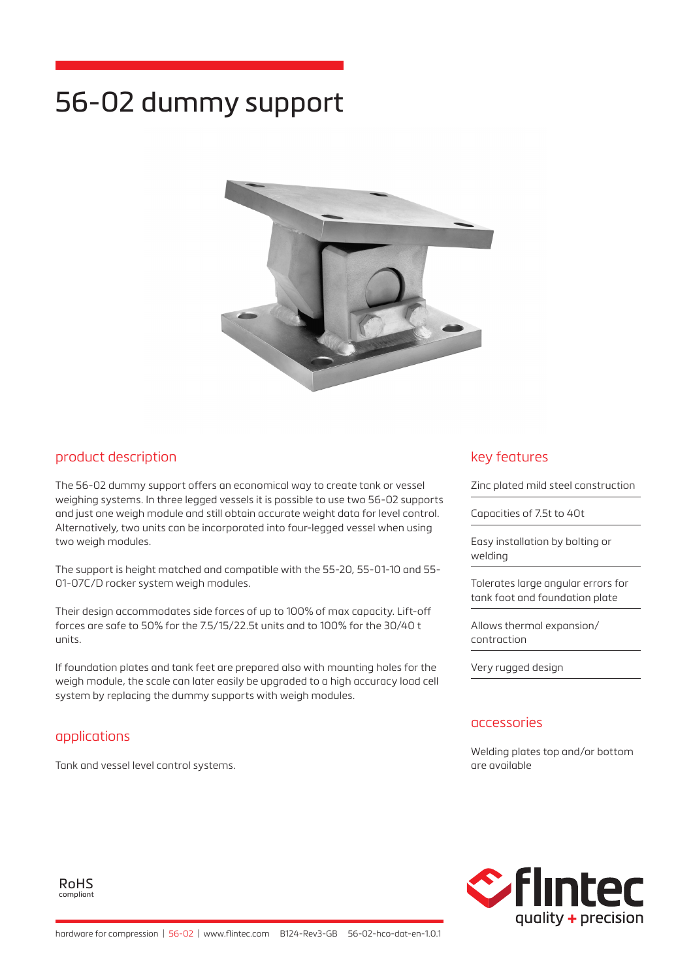# 56-02 dummy support



## product description

The 56-02 dummy support offers an economical way to create tank or vessel weighing systems. In three legged vessels it is possible to use two 56-02 supports and just one weigh module and still obtain accurate weight data for level control. Alternatively, two units can be incorporated into four-legged vessel when using two weigh modules.

The support is height matched and compatible with the 55-20, 55-01-10 and 55- 01-07C/D rocker system weigh modules.

Their design accommodates side forces of up to 100% of max capacity. Lift-off forces are safe to 50% for the 7.5/15/22.5t units and to 100% for the 30/40 t units.

If foundation plates and tank feet are prepared also with mounting holes for the weigh module, the scale can later easily be upgraded to a high accuracy load cell system by replacing the dummy supports with weigh modules.

## applications

Tank and vessel level control systems.

## key features

Zinc plated mild steel construction

Capacities of 7.5t to 40t

Easy installation by bolting or welding

Tolerates large angular errors for tank foot and foundation plate

Allows thermal expansion/ contraction

Very rugged design

#### accessories

Welding plates top and/or bottom are available